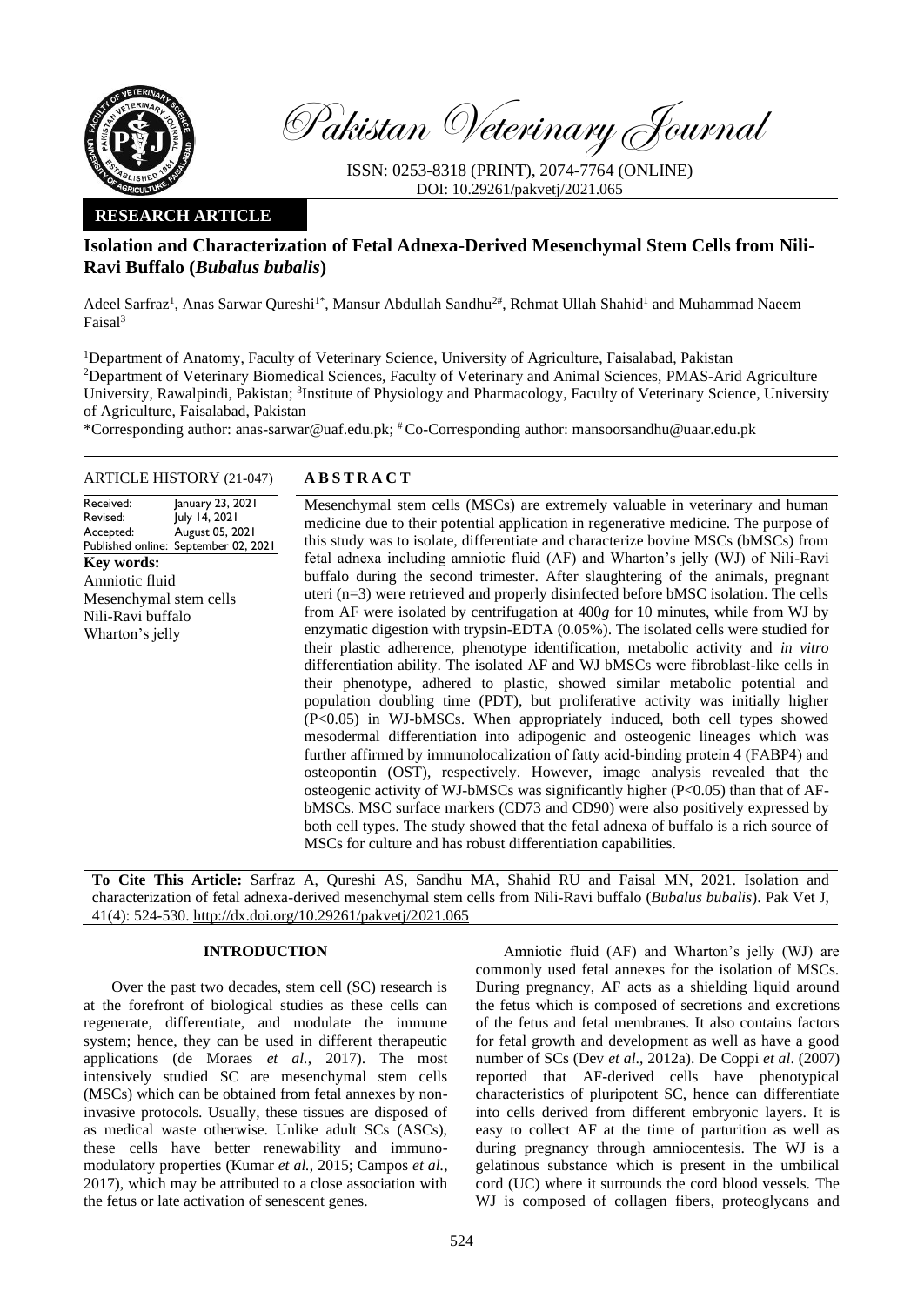

Pakistan Veterinary Journal

ISSN: 0253-8318 (PRINT), 2074-7764 (ONLINE) DOI: 10.29261/pakvetj/2021.065

## **RESEARCH ARTICLE**

# **Isolation and Characterization of Fetal Adnexa-Derived Mesenchymal Stem Cells from Nili-Ravi Buffalo (***Bubalus bubalis***)**

Adeel Sarfraz<sup>1</sup>, Anas Sarwar Qureshi<sup>1\*</sup>, Mansur Abdullah Sandhu<sup>2#</sup>, Rehmat Ullah Shahid<sup>1</sup> and Muhammad Naeem Faisal<sup>3</sup>

<sup>1</sup>Department of Anatomy, Faculty of Veterinary Science, University of Agriculture, Faisalabad, Pakistan <sup>2</sup>Department of Veterinary Biomedical Sciences, Faculty of Veterinary and Animal Sciences, PMAS-Arid Agriculture University, Rawalpindi, Pakistan; <sup>3</sup>Institute of Physiology and Pharmacology, Faculty of Veterinary Science, University of Agriculture, Faisalabad, Pakistan

\*Corresponding author: anas-sarwar@uaf.edu.pk; # Co-Corresponding author: mansoorsandhu@uaar.edu.pk

## ARTICLE HISTORY (21-047) **A B S T R A C T**

Received: Revised: Accepted: Published online: September 02, 2021 January 23, 2021 July 14, 2021 August 05, 2021 **Key words:**  Amniotic fluid Mesenchymal stem cells Nili-Ravi buffalo Wharton's jelly

Mesenchymal stem cells (MSCs) are extremely valuable in veterinary and human medicine due to their potential application in regenerative medicine. The purpose of this study was to isolate, differentiate and characterize bovine MSCs (bMSCs) from fetal adnexa including amniotic fluid (AF) and Wharton's jelly (WJ) of Nili-Ravi buffalo during the second trimester. After slaughtering of the animals, pregnant uteri (n=3) were retrieved and properly disinfected before bMSC isolation. The cells from AF were isolated by centrifugation at 400*g* for 10 minutes, while from WJ by enzymatic digestion with trypsin-EDTA (0.05%). The isolated cells were studied for their plastic adherence, phenotype identification, metabolic activity and *in vitro* differentiation ability. The isolated AF and WJ bMSCs were fibroblast-like cells in their phenotype, adhered to plastic, showed similar metabolic potential and population doubling time (PDT), but proliferative activity was initially higher (P<0.05) in WJ-bMSCs. When appropriately induced, both cell types showed mesodermal differentiation into adipogenic and osteogenic lineages which was further affirmed by immunolocalization of fatty acid-binding protein 4 (FABP4) and osteopontin (OST), respectively. However, image analysis revealed that the osteogenic activity of WJ-bMSCs was significantly higher (P<0.05) than that of AFbMSCs. MSC surface markers (CD73 and CD90) were also positively expressed by both cell types. The study showed that the fetal adnexa of buffalo is a rich source of MSCs for culture and has robust differentiation capabilities.

**To Cite This Article:** Sarfraz A, Qureshi AS, Sandhu MA, Shahid RU and Faisal MN, 2021. Isolation and characterization of fetal adnexa-derived mesenchymal stem cells from Nili-Ravi buffalo (*Bubalus bubalis*). Pak Vet J, 41(4): 524-530[. http://dx.doi.org/10.29261/pakvetj/2021.065](http://pvj.com.pk/pdf-files/41_4/524-530.pdf)

## **INTRODUCTION**

Over the past two decades, stem cell (SC) research is at the forefront of biological studies as these cells can regenerate, differentiate, and modulate the immune system; hence, they can be used in different therapeutic applications (de Moraes *et al.*, 2017). The most intensively studied SC are mesenchymal stem cells (MSCs) which can be obtained from fetal annexes by noninvasive protocols. Usually, these tissues are disposed of as medical waste otherwise. Unlike adult SCs (ASCs), these cells have better renewability and immunomodulatory properties (Kumar *et al.*, 2015; Campos *et al.*, 2017), which may be attributed to a close association with the fetus or late activation of senescent genes.

Amniotic fluid (AF) and Wharton's jelly (WJ) are commonly used fetal annexes for the isolation of MSCs. During pregnancy, AF acts as a shielding liquid around the fetus which is composed of secretions and excretions of the fetus and fetal membranes. It also contains factors for fetal growth and development as well as have a good number of SCs (Dev *et al*., 2012a). De Coppi *et al*. (2007) reported that AF-derived cells have phenotypical characteristics of pluripotent SC, hence can differentiate into cells derived from different embryonic layers. It is easy to collect AF at the time of parturition as well as during pregnancy through amniocentesis. The WJ is a gelatinous substance which is present in the umbilical cord (UC) where it surrounds the cord blood vessels. The WJ is composed of collagen fibers, proteoglycans and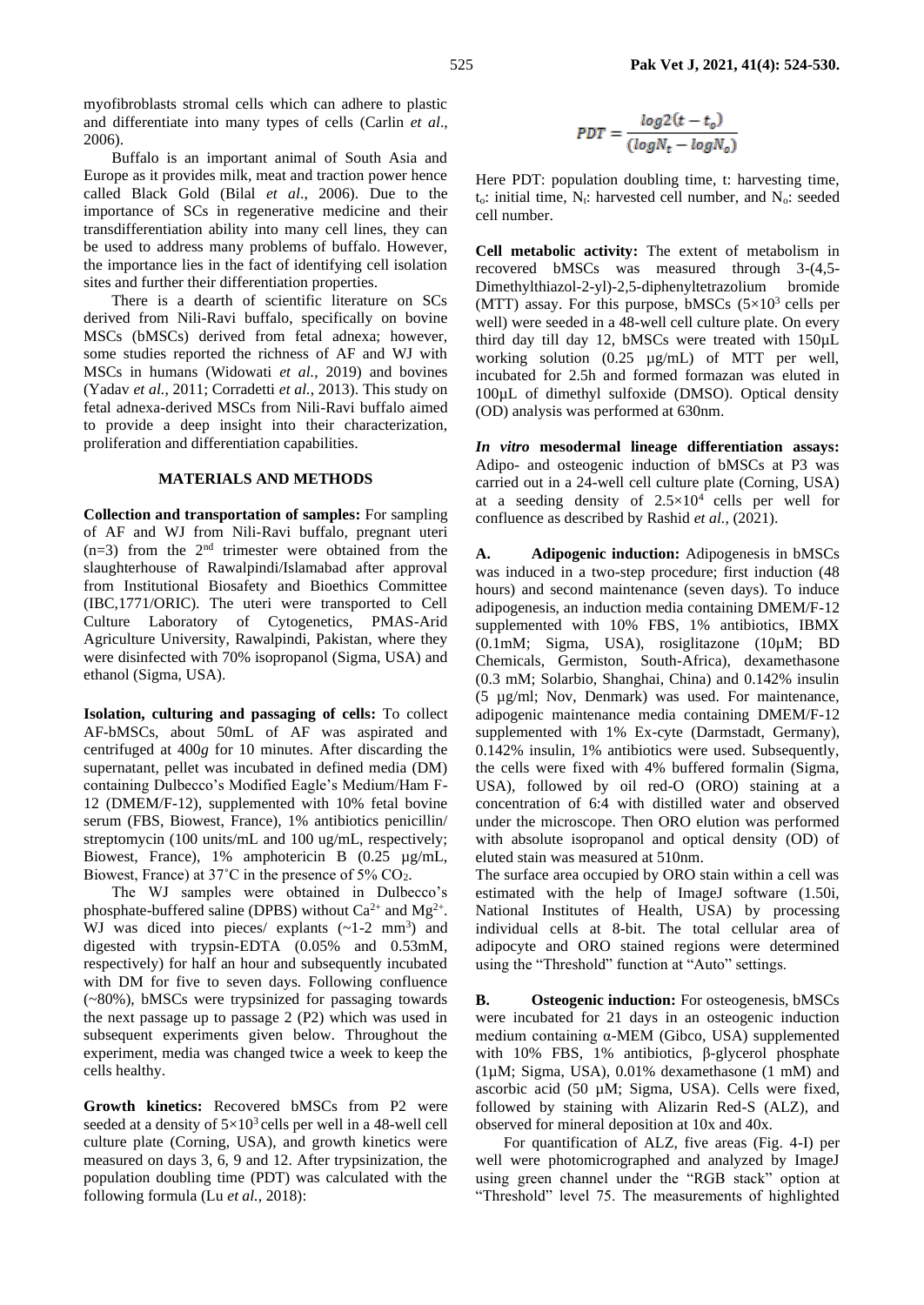myofibroblasts stromal cells which can adhere to plastic and differentiate into many types of cells (Carlin *et al*., 2006).

Buffalo is an important animal of South Asia and Europe as it provides milk, meat and traction power hence called Black Gold (Bilal *et al*., 2006). Due to the importance of SCs in regenerative medicine and their transdifferentiation ability into many cell lines, they can be used to address many problems of buffalo. However, the importance lies in the fact of identifying cell isolation sites and further their differentiation properties.

There is a dearth of scientific literature on SCs derived from Nili-Ravi buffalo, specifically on bovine MSCs (bMSCs) derived from fetal adnexa; however, some studies reported the richness of AF and WJ with MSCs in humans (Widowati *et al.*, 2019) and bovines (Yadav *et al.*, 2011; Corradetti *et al.*, 2013). This study on fetal adnexa-derived MSCs from Nili-Ravi buffalo aimed to provide a deep insight into their characterization, proliferation and differentiation capabilities.

#### **MATERIALS AND METHODS**

**Collection and transportation of samples:** For sampling of AF and WJ from Nili-Ravi buffalo, pregnant uteri  $(n=3)$  from the  $2<sup>nd</sup>$  trimester were obtained from the slaughterhouse of Rawalpindi/Islamabad after approval from Institutional Biosafety and Bioethics Committee (IBC,1771/ORIC). The uteri were transported to Cell Culture Laboratory of Cytogenetics, PMAS-Arid Agriculture University, Rawalpindi, Pakistan, where they were disinfected with 70% isopropanol (Sigma, USA) and ethanol (Sigma, USA).

**Isolation, culturing and passaging of cells:** To collect AF-bMSCs, about 50mL of AF was aspirated and centrifuged at 400*g* for 10 minutes. After discarding the supernatant, pellet was incubated in defined media (DM) containing Dulbecco's Modified Eagle's Medium/Ham F-12 (DMEM/F-12), supplemented with 10% fetal bovine serum (FBS, Biowest, France), 1% antibiotics penicillin/ streptomycin (100 units/mL and 100 ug/mL, respectively; Biowest, France), 1% amphotericin B (0.25 µg/mL, Biowest, France) at  $37^{\circ}$ C in the presence of  $5\%$  CO<sub>2</sub>.

The WJ samples were obtained in Dulbecco's phosphate-buffered saline (DPBS) without  $Ca^{2+}$  and  $Mg^{2+}$ . WJ was diced into pieces/ explants  $(-1-2 \text{ mm}^3)$  and digested with trypsin-EDTA (0.05% and 0.53mM, respectively) for half an hour and subsequently incubated with DM for five to seven days. Following confluence (~80%), bMSCs were trypsinized for passaging towards the next passage up to passage 2 (P2) which was used in subsequent experiments given below. Throughout the experiment, media was changed twice a week to keep the cells healthy.

**Growth kinetics:** Recovered bMSCs from P2 were seeded at a density of  $5\times10^3$  cells per well in a 48-well cell culture plate (Corning, USA), and growth kinetics were measured on days 3, 6, 9 and 12. After trypsinization, the population doubling time (PDT) was calculated with the following formula (Lu *et al.*, 2018):

$$
PDT = \frac{\log 2(t - t_o)}{(\log N_t - \log N_o)}
$$

Here PDT: population doubling time, t: harvesting time,  $t_0$ : initial time,  $N_t$ : harvested cell number, and  $N_0$ : seeded cell number.

**Cell metabolic activity:** The extent of metabolism in recovered bMSCs was measured through 3-(4,5- Dimethylthiazol-2-yl)-2,5-diphenyltetrazolium bromide (MTT) assay. For this purpose, bMSCs  $(5\times10^3$  cells per well) were seeded in a 48-well cell culture plate. On every third day till day 12, bMSCs were treated with 150µL working solution (0.25 µg/mL) of MTT per well, incubated for 2.5h and formed formazan was eluted in 100µL of dimethyl sulfoxide (DMSO). Optical density (OD) analysis was performed at 630nm.

*In vitro* **mesodermal lineage differentiation assays:**  Adipo- and osteogenic induction of bMSCs at P3 was carried out in a 24-well cell culture plate (Corning, USA) at a seeding density of  $2.5 \times 10^4$  cells per well for confluence as described by Rashid *et al.,* (2021).

**A. Adipogenic induction:** Adipogenesis in bMSCs was induced in a two-step procedure; first induction (48 hours) and second maintenance (seven days). To induce adipogenesis, an induction media containing DMEM/F-12 supplemented with 10% FBS, 1% antibiotics, IBMX (0.1mM; Sigma, USA), rosiglitazone (10µM; BD Chemicals, Germiston, South-Africa), dexamethasone (0.3 mM; Solarbio, Shanghai, China) and 0.142% insulin (5 µg/ml; Nov, Denmark) was used. For maintenance, adipogenic maintenance media containing DMEM/F-12 supplemented with 1% Ex-cyte (Darmstadt, Germany), 0.142% insulin, 1% antibiotics were used. Subsequently, the cells were fixed with 4% buffered formalin (Sigma, USA), followed by oil red-O (ORO) staining at a concentration of 6:4 with distilled water and observed under the microscope. Then ORO elution was performed with absolute isopropanol and optical density (OD) of eluted stain was measured at 510nm.

The surface area occupied by ORO stain within a cell was estimated with the help of ImageJ software (1.50i, National Institutes of Health, USA) by processing individual cells at 8-bit. The total cellular area of adipocyte and ORO stained regions were determined using the "Threshold" function at "Auto" settings.

**B. Osteogenic induction:** For osteogenesis, bMSCs were incubated for 21 days in an osteogenic induction medium containing α-MEM (Gibco, USA) supplemented with 10% FBS, 1% antibiotics, β-glycerol phosphate (1µM; Sigma, USA), 0.01% dexamethasone (1 mM) and ascorbic acid (50 µM; Sigma, USA). Cells were fixed, followed by staining with Alizarin Red-S (ALZ), and observed for mineral deposition at 10x and 40x.

For quantification of ALZ, five areas (Fig. 4-I) per well were photomicrographed and analyzed by ImageJ using green channel under the "RGB stack" option at "Threshold" level 75. The measurements of highlighted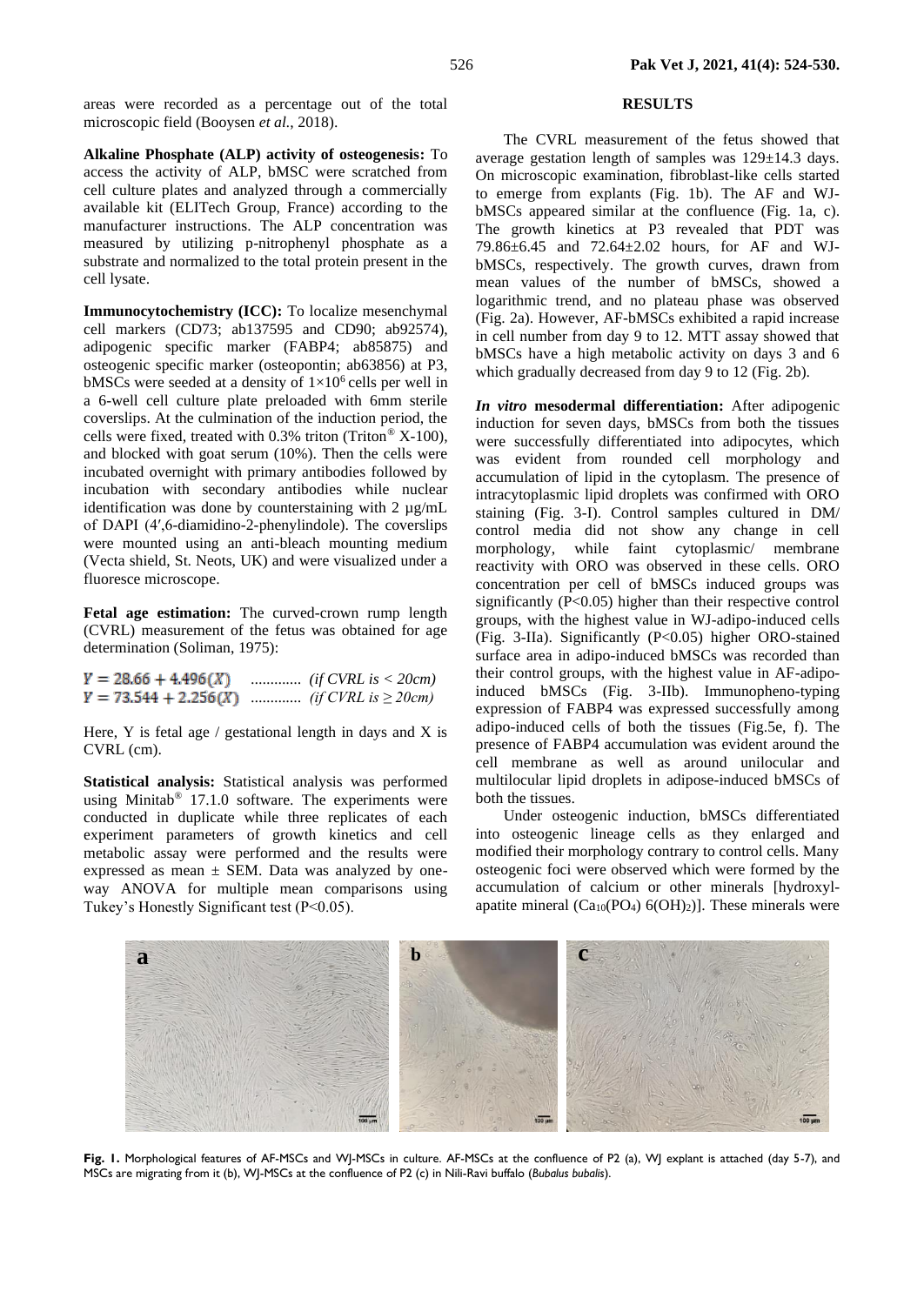areas were recorded as a percentage out of the total microscopic field (Booysen *et al.*, 2018).

**Alkaline Phosphate (ALP) activity of osteogenesis:** To access the activity of ALP, bMSC were scratched from cell culture plates and analyzed through a commercially available kit (ELITech Group, France) according to the manufacturer instructions. The ALP concentration was measured by utilizing p-nitrophenyl phosphate as a substrate and normalized to the total protein present in the cell lysate.

**Immunocytochemistry (ICC):** To localize mesenchymal cell markers (CD73; ab137595 and CD90; ab92574), adipogenic specific marker (FABP4; ab85875) and osteogenic specific marker (osteopontin; ab63856) at P3, bMSCs were seeded at a density of  $1 \times 10^6$  cells per well in a 6-well cell culture plate preloaded with 6mm sterile coverslips. At the culmination of the induction period, the cells were fixed, treated with  $0.3\%$  triton (Triton® X-100), and blocked with goat serum (10%). Then the cells were incubated overnight with primary antibodies followed by incubation with secondary antibodies while nuclear identification was done by counterstaining with 2 µg/mL of DAPI (4′,6-diamidino-2-phenylindole). The coverslips were mounted using an anti-bleach mounting medium (Vecta shield, St. Neots, UK) and were visualized under a fluoresce microscope.

**Fetal age estimation:** The curved-crown rump length (CVRL) measurement of the fetus was obtained for age determination (Soliman, 1975):

 $Y = 28.66 + 4.496(X)$  ............. *(if CVRL is < 20cm)*  $Y = 73.544 + 2.256(X)$  .............. *(if CVRL is*  $\geq$  20*cm)* 

Here, Y is fetal age  $/$  gestational length in days and X is CVRL (cm).

**Statistical analysis:** Statistical analysis was performed using Minitab® 17.1.0 software. The experiments were conducted in duplicate while three replicates of each experiment parameters of growth kinetics and cell metabolic assay were performed and the results were expressed as mean  $\pm$  SEM. Data was analyzed by oneway ANOVA for multiple mean comparisons using Tukey's Honestly Significant test (P<0.05).

### **RESULTS**

The CVRL measurement of the fetus showed that average gestation length of samples was 129±14.3 days. On microscopic examination, fibroblast-like cells started to emerge from explants (Fig. 1b). The AF and WJbMSCs appeared similar at the confluence (Fig. 1a, c). The growth kinetics at P3 revealed that PDT was 79.86±6.45 and 72.64±2.02 hours, for AF and WJbMSCs, respectively. The growth curves, drawn from mean values of the number of bMSCs, showed a logarithmic trend, and no plateau phase was observed (Fig. 2a). However, AF-bMSCs exhibited a rapid increase in cell number from day 9 to 12. MTT assay showed that bMSCs have a high metabolic activity on days 3 and 6 which gradually decreased from day 9 to 12 (Fig. 2b).

*In vitro* **mesodermal differentiation:** After adipogenic induction for seven days, bMSCs from both the tissues were successfully differentiated into adipocytes, which was evident from rounded cell morphology and accumulation of lipid in the cytoplasm. The presence of intracytoplasmic lipid droplets was confirmed with ORO staining (Fig. 3-I). Control samples cultured in DM/ control media did not show any change in cell morphology, while faint cytoplasmic/ membrane reactivity with ORO was observed in these cells. ORO concentration per cell of bMSCs induced groups was significantly (P<0.05) higher than their respective control groups, with the highest value in WJ-adipo-induced cells (Fig. 3-IIa). Significantly (P<0.05) higher ORO-stained surface area in adipo-induced bMSCs was recorded than their control groups, with the highest value in AF-adipoinduced bMSCs (Fig. 3-IIb). Immunopheno-typing expression of FABP4 was expressed successfully among adipo-induced cells of both the tissues (Fig.5e, f). The presence of FABP4 accumulation was evident around the cell membrane as well as around unilocular and multilocular lipid droplets in adipose-induced bMSCs of both the tissues.

Under osteogenic induction, bMSCs differentiated into osteogenic lineage cells as they enlarged and modified their morphology contrary to control cells. Many osteogenic foci were observed which were formed by the accumulation of calcium or other minerals [hydroxylapatite mineral  $(Ca_{10}(PO_4) 6(OH)_2)$ ]. These minerals were



**Fig. 1.** Morphological features of AF-MSCs and WJ-MSCs in culture. AF-MSCs at the confluence of P2 (a), WJ explant is attached (day 5-7), and MSCs are migrating from it (b), WJ-MSCs at the confluence of P2 (c) in Nili-Ravi buffalo (*Bubalus bubalis*).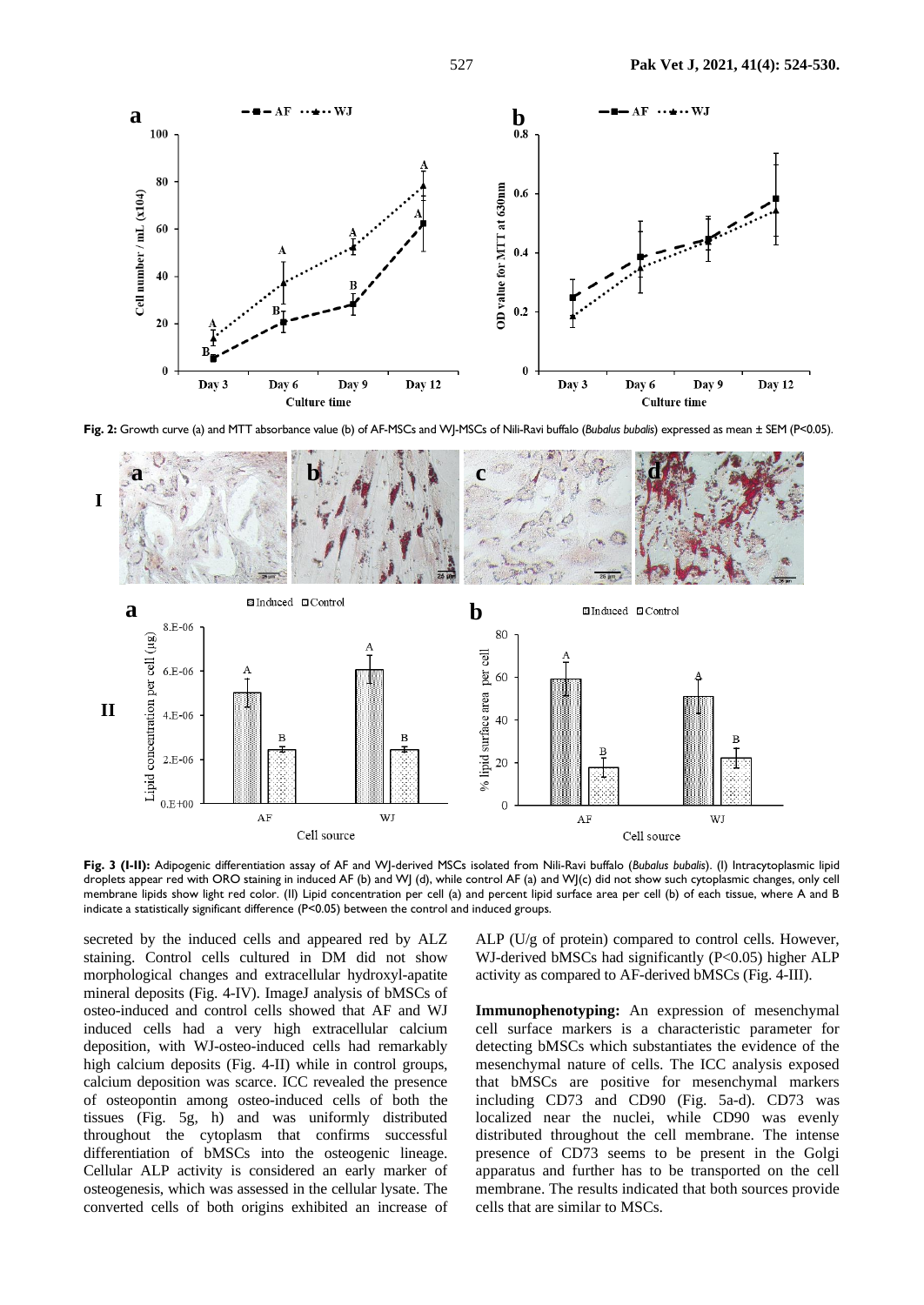

**Fig. 2:** Growth curve (a) and MTT absorbance value (b) of AF-MSCs and WJ-MSCs of Nili-Ravi buffalo (*Bubalus bubalis*) expressed as mean ± SEM (P<0.05).



**Fig. 3 (I-II):** Adipogenic differentiation assay of AF and WJ-derived MSCs isolated from Nili-Ravi buffalo (*Bubalus bubalis*). (I) Intracytoplasmic lipid droplets appear red with ORO staining in induced AF (b) and WJ (d), while control AF (a) and WJ(c) did not show such cytoplasmic changes, only cell membrane lipids show light red color. (II) Lipid concentration per cell (a) and percent lipid surface area per cell (b) of each tissue, where A and B indicate a statistically significant difference (P<0.05) between the control and induced groups.

secreted by the induced cells and appeared red by ALZ staining. Control cells cultured in DM did not show morphological changes and extracellular hydroxyl-apatite mineral deposits (Fig. 4-IV). ImageJ analysis of bMSCs of osteo-induced and control cells showed that AF and WJ induced cells had a very high extracellular calcium deposition, with WJ-osteo-induced cells had remarkably high calcium deposits (Fig. 4-II) while in control groups, calcium deposition was scarce. ICC revealed the presence of osteopontin among osteo-induced cells of both the tissues (Fig. 5g, h) and was uniformly distributed throughout the cytoplasm that confirms successful differentiation of bMSCs into the osteogenic lineage. Cellular ALP activity is considered an early marker of osteogenesis, which was assessed in the cellular lysate. The converted cells of both origins exhibited an increase of ALP (U/g of protein) compared to control cells. However, WJ-derived bMSCs had significantly (P<0.05) higher ALP activity as compared to AF-derived bMSCs (Fig. 4-III).

**Immunophenotyping:** An expression of mesenchymal cell surface markers is a characteristic parameter for detecting bMSCs which substantiates the evidence of the mesenchymal nature of cells. The ICC analysis exposed that bMSCs are positive for mesenchymal markers including CD73 and CD90 (Fig. 5a-d). CD73 was localized near the nuclei, while CD90 was evenly distributed throughout the cell membrane. The intense presence of CD73 seems to be present in the Golgi apparatus and further has to be transported on the cell membrane. The results indicated that both sources provide cells that are similar to MSCs.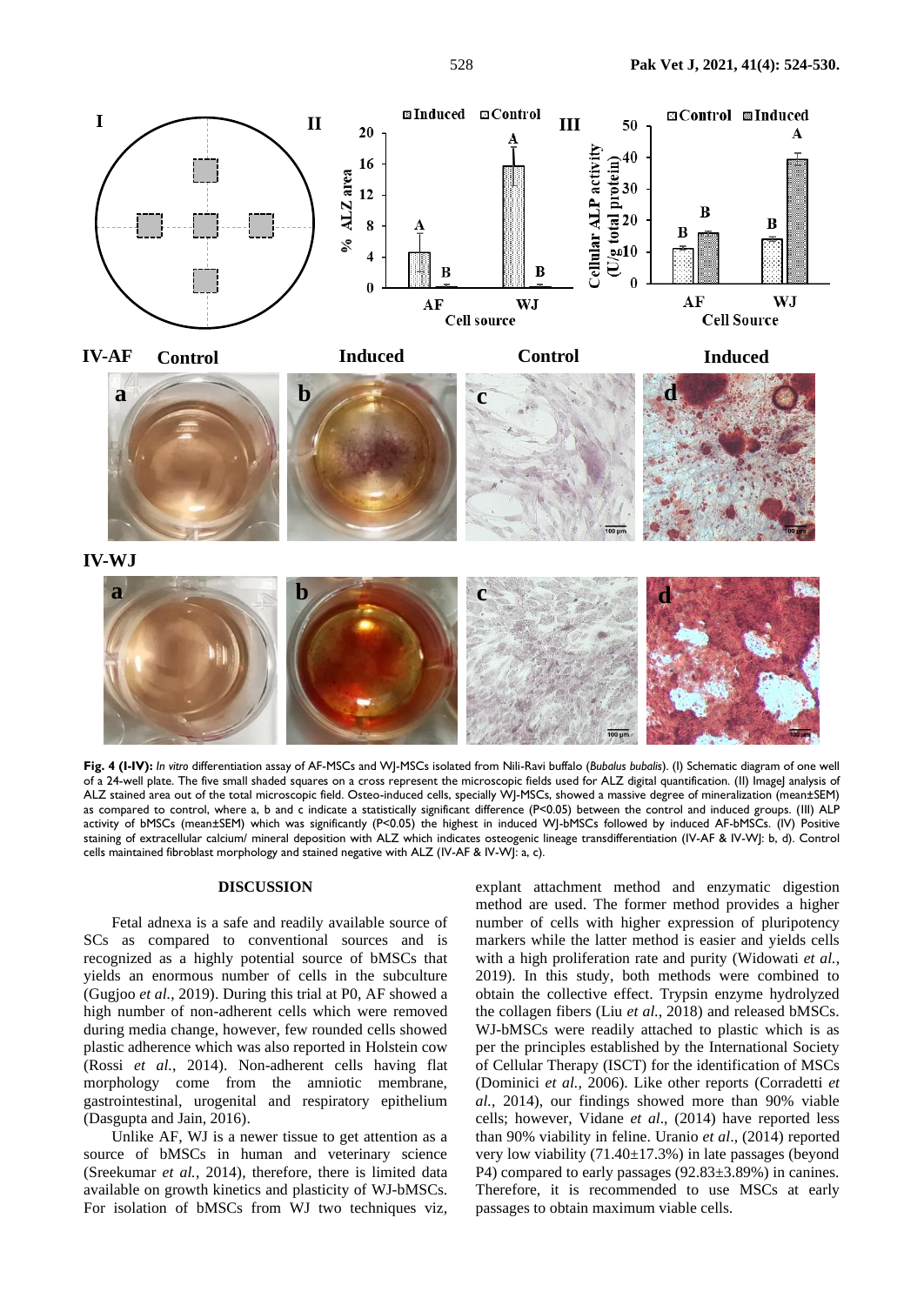

**Fig. 4 (I-IV):** *In vitro* differentiation assay of AF-MSCs and WJ-MSCs isolated from Nili-Ravi buffalo (*Bubalus bubalis*). (I) Schematic diagram of one well of a 24-well plate. The five small shaded squares on a cross represent the microscopic fields used for ALZ digital quantification. (II) ImageJ analysis of ALZ stained area out of the total microscopic field. Osteo-induced cells, specially WJ-MSCs, showed a massive degree of mineralization (mean±SEM) as compared to control, where a, b and c indicate a statistically significant difference (P<0.05) between the control and induced groups. (III) ALP activity of bMSCs (mean±SEM) which was significantly (P<0.05) the highest in induced WJ-bMSCs followed by induced AF-bMSCs. (IV) Positive staining of extracellular calcium/ mineral deposition with ALZ which indicates osteogenic lineage transdifferentiation (IV-AF & IV-WJ: b, d). Control cells maintained fibroblast morphology and stained negative with ALZ (IV-AF & IV-WJ: a, c).

#### **DISCUSSION**

Fetal adnexa is a safe and readily available source of SCs as compared to conventional sources and is recognized as a highly potential source of bMSCs that yields an enormous number of cells in the subculture (Gugjoo *et al.*, 2019). During this trial at P0, AF showed a high number of non-adherent cells which were removed during media change, however, few rounded cells showed plastic adherence which was also reported in Holstein cow (Rossi *et al.*, 2014). Non-adherent cells having flat morphology come from the amniotic membrane, gastrointestinal, urogenital and respiratory epithelium (Dasgupta and Jain, 2016).

Unlike AF, WJ is a newer tissue to get attention as a source of bMSCs in human and veterinary science (Sreekumar *et al.*, 2014), therefore, there is limited data available on growth kinetics and plasticity of WJ-bMSCs. For isolation of bMSCs from WJ two techniques viz,

explant attachment method and enzymatic digestion method are used. The former method provides a higher number of cells with higher expression of pluripotency markers while the latter method is easier and yields cells with a high proliferation rate and purity (Widowati *et al.*, 2019). In this study, both methods were combined to obtain the collective effect. Trypsin enzyme hydrolyzed the collagen fibers (Liu *et al.*, 2018) and released bMSCs. WJ-bMSCs were readily attached to plastic which is as per the principles established by the International Society of Cellular Therapy (ISCT) for the identification of MSCs (Dominici *et al.*, 2006). Like other reports (Corradetti *et al.*, 2014), our findings showed more than 90% viable cells; however, Vidane *et al*., (2014) have reported less than 90% viability in feline. Uranio *et al*., (2014) reported very low viability (71.40±17.3%) in late passages (beyond P4) compared to early passages (92.83±3.89%) in canines. Therefore, it is recommended to use MSCs at early passages to obtain maximum viable cells.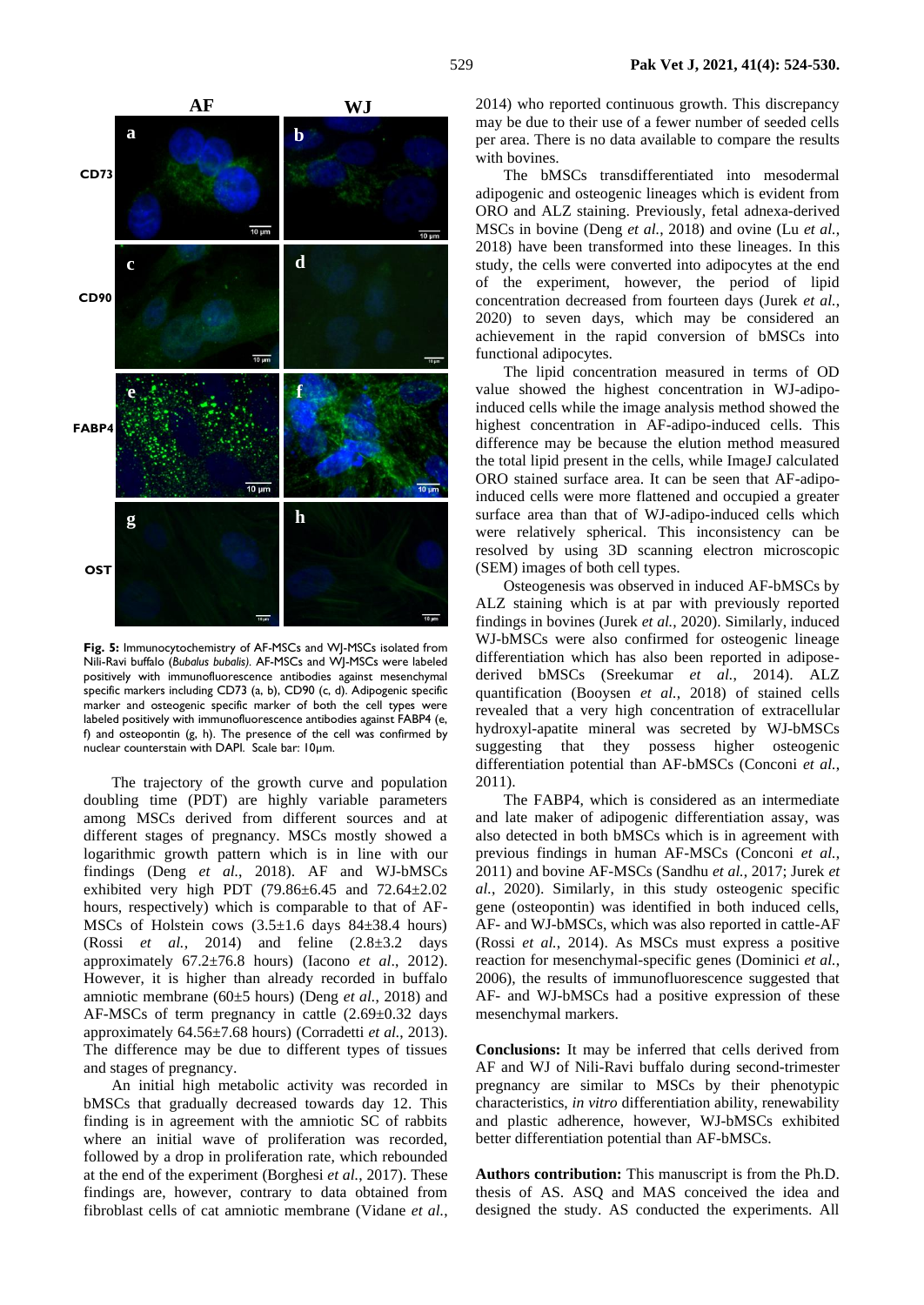

**Fig. 5:** Immunocytochemistry of AF-MSCs and WJ-MSCs isolated from Nili-Ravi buffalo (*Bubalus bubalis).* AF-MSCs and WJ-MSCs were labeled positively with immunofluorescence antibodies against mesenchymal specific markers including CD73 (a, b), CD90 (c, d). Adipogenic specific marker and osteogenic specific marker of both the cell types were labeled positively with immunofluorescence antibodies against FABP4 (e, f) and osteopontin (g, h). The presence of the cell was confirmed by nuclear counterstain with DAPI. Scale bar: 10µm.

The trajectory of the growth curve and population doubling time (PDT) are highly variable parameters among MSCs derived from different sources and at different stages of pregnancy. MSCs mostly showed a logarithmic growth pattern which is in line with our findings (Deng *et al.*, 2018). AF and WJ-bMSCs exhibited very high PDT (79.86 $\pm$ 6.45 and 72.64 $\pm$ 2.02 hours, respectively) which is comparable to that of AF-MSCs of Holstein cows  $(3.5\pm1.6$  days  $84\pm38.4$  hours) (Rossi *et al.*, 2014) and feline  $(2.8\pm3.2 \text{ days})$ approximately 67.2±76.8 hours) (Iacono *et al*., 2012). However, it is higher than already recorded in buffalo amniotic membrane (60±5 hours) (Deng *et al.*, 2018) and AF-MSCs of term pregnancy in cattle  $(2.69\pm0.32$  days approximately 64.56±7.68 hours) (Corradetti *et al.*, 2013). The difference may be due to different types of tissues and stages of pregnancy.

An initial high metabolic activity was recorded in bMSCs that gradually decreased towards day 12. This finding is in agreement with the amniotic SC of rabbits where an initial wave of proliferation was recorded, followed by a drop in proliferation rate, which rebounded at the end of the experiment (Borghesi *et al.*, 2017). These findings are, however, contrary to data obtained from fibroblast cells of cat amniotic membrane (Vidane *et al.*, 2014) who reported continuous growth. This discrepancy may be due to their use of a fewer number of seeded cells per area. There is no data available to compare the results with bovines.

The bMSCs transdifferentiated into mesodermal adipogenic and osteogenic lineages which is evident from ORO and ALZ staining. Previously, fetal adnexa-derived MSCs in bovine (Deng *et al.*, 2018) and ovine (Lu *et al.*, 2018) have been transformed into these lineages. In this study, the cells were converted into adipocytes at the end of the experiment, however, the period of lipid concentration decreased from fourteen days (Jurek *et al.*, 2020) to seven days, which may be considered an achievement in the rapid conversion of bMSCs into functional adipocytes.

The lipid concentration measured in terms of OD value showed the highest concentration in WJ-adipoinduced cells while the image analysis method showed the highest concentration in AF-adipo-induced cells. This difference may be because the elution method measured the total lipid present in the cells, while ImageJ calculated ORO stained surface area. It can be seen that AF-adipoinduced cells were more flattened and occupied a greater surface area than that of WJ-adipo-induced cells which were relatively spherical. This inconsistency can be resolved by using 3D scanning electron microscopic (SEM) images of both cell types.

Osteogenesis was observed in induced AF-bMSCs by ALZ staining which is at par with previously reported findings in bovines (Jurek *et al.*, 2020). Similarly, induced WJ-bMSCs were also confirmed for osteogenic lineage differentiation which has also been reported in adiposederived bMSCs (Sreekumar *et al.*, 2014). ALZ quantification (Booysen *et al.*, 2018) of stained cells revealed that a very high concentration of extracellular hydroxyl-apatite mineral was secreted by WJ-bMSCs suggesting that they possess higher osteogenic differentiation potential than AF-bMSCs (Conconi *et al.*, 2011).

The FABP4, which is considered as an intermediate and late maker of adipogenic differentiation assay, was also detected in both bMSCs which is in agreement with previous findings in human AF-MSCs (Conconi *et al.*, 2011) and bovine AF-MSCs (Sandhu *et al.*, 2017; Jurek *et al.*, 2020). Similarly, in this study osteogenic specific gene (osteopontin) was identified in both induced cells, AF- and WJ-bMSCs, which was also reported in cattle-AF (Rossi *et al.*, 2014). As MSCs must express a positive reaction for mesenchymal-specific genes (Dominici *et al.*, 2006), the results of immunofluorescence suggested that AF- and WJ-bMSCs had a positive expression of these mesenchymal markers.

**Conclusions:** It may be inferred that cells derived from AF and WJ of Nili-Ravi buffalo during second-trimester pregnancy are similar to MSCs by their phenotypic characteristics, *in vitro* differentiation ability, renewability and plastic adherence, however, WJ-bMSCs exhibited better differentiation potential than AF-bMSCs.

**Authors contribution:** This manuscript is from the Ph.D. thesis of AS. ASQ and MAS conceived the idea and designed the study. AS conducted the experiments. All